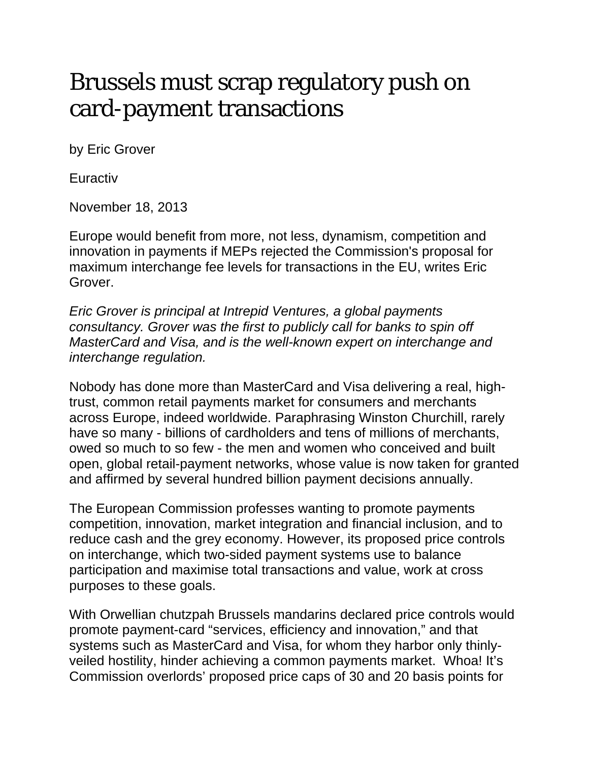## Brussels must scrap regulatory push on card-payment transactions

by Eric Grover

Euractiv

November 18, 2013

Europe would benefit from more, not less, dynamism, competition and innovation in payments if MEPs rejected the Commission's proposal for maximum interchange fee levels for transactions in the EU, writes Eric Grover.

*Eric Grover is principal at Intrepid Ventures, a global payments consultancy. Grover was the first to publicly call for banks to spin off MasterCard and Visa, and is the well-known expert on interchange and interchange regulation.*

Nobody has done more than MasterCard and Visa delivering a real, hightrust, common retail payments market for consumers and merchants across Europe, indeed worldwide. Paraphrasing Winston Churchill, rarely have so many - billions of cardholders and tens of millions of merchants, owed so much to so few - the men and women who conceived and built open, global retail-payment networks, whose value is now taken for granted and affirmed by several hundred billion payment decisions annually.

The European Commission professes wanting to promote payments competition, innovation, market integration and financial inclusion, and to reduce cash and the grey economy. However, its proposed price controls on interchange, which two-sided payment systems use to balance participation and maximise total transactions and value, work at cross purposes to these goals.

With Orwellian chutzpah Brussels mandarins declared price controls would promote payment-card "services, efficiency and innovation," and that systems such as MasterCard and Visa, for whom they harbor only thinlyveiled hostility, hinder achieving a common payments market. Whoa! It's Commission overlords' proposed price caps of 30 and 20 basis points for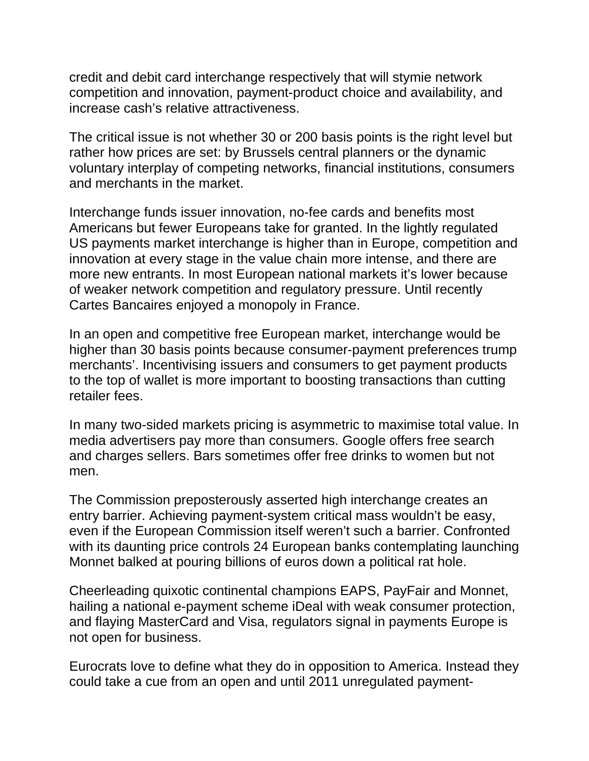credit and debit card interchange respectively that will stymie network competition and innovation, payment-product choice and availability, and increase cash's relative attractiveness.

The critical issue is not whether 30 or 200 basis points is the right level but rather how prices are set: by Brussels central planners or the dynamic voluntary interplay of competing networks, financial institutions, consumers and merchants in the market.

Interchange funds issuer innovation, no-fee cards and benefits most Americans but fewer Europeans take for granted. In the lightly regulated US payments market interchange is higher than in Europe, competition and innovation at every stage in the value chain more intense, and there are more new entrants. In most European national markets it's lower because of weaker network competition and regulatory pressure. Until recently Cartes Bancaires enjoyed a monopoly in France.

In an open and competitive free European market, interchange would be higher than 30 basis points because consumer-payment preferences trump merchants'. Incentivising issuers and consumers to get payment products to the top of wallet is more important to boosting transactions than cutting retailer fees.

In many two-sided markets pricing is asymmetric to maximise total value. In media advertisers pay more than consumers. Google offers free search and charges sellers. Bars sometimes offer free drinks to women but not men.

The Commission preposterously asserted high interchange creates an entry barrier. Achieving payment-system critical mass wouldn't be easy, even if the European Commission itself weren't such a barrier. Confronted with its daunting price controls 24 European banks contemplating launching Monnet balked at pouring billions of euros down a political rat hole.

Cheerleading quixotic continental champions EAPS, PayFair and Monnet, hailing a national e-payment scheme iDeal with weak consumer protection, and flaying MasterCard and Visa, regulators signal in payments Europe is not open for business.

Eurocrats love to define what they do in opposition to America. Instead they could take a cue from an open and until 2011 unregulated payment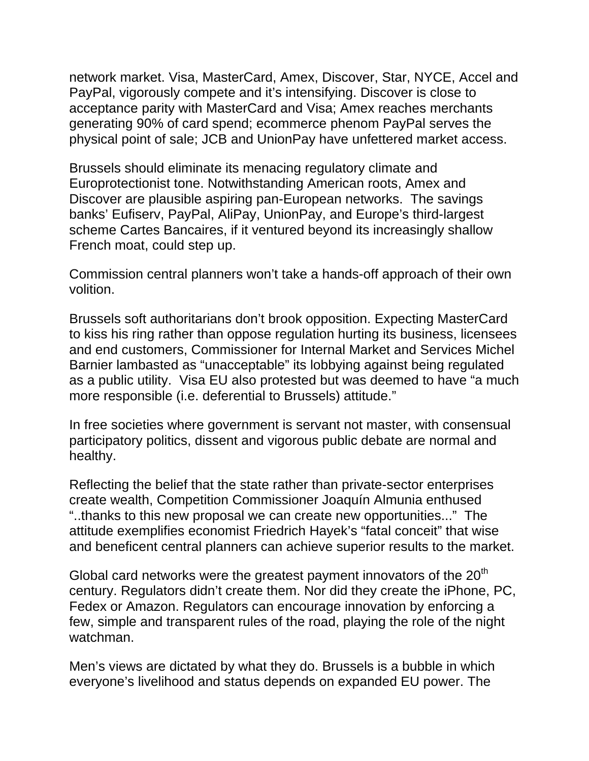network market. Visa, MasterCard, Amex, Discover, Star, NYCE, Accel and PayPal, vigorously compete and it's intensifying. Discover is close to acceptance parity with MasterCard and Visa; Amex reaches merchants generating 90% of card spend; ecommerce phenom PayPal serves the physical point of sale; JCB and UnionPay have unfettered market access.

Brussels should eliminate its menacing regulatory climate and Europrotectionist tone. Notwithstanding American roots, Amex and Discover are plausible aspiring pan-European networks. The savings banks' Eufiserv, PayPal, AliPay, UnionPay, and Europe's third-largest scheme Cartes Bancaires, if it ventured beyond its increasingly shallow French moat, could step up.

Commission central planners won't take a hands-off approach of their own volition.

Brussels soft authoritarians don't brook opposition. Expecting MasterCard to kiss his ring rather than oppose regulation hurting its business, licensees and end customers, Commissioner for Internal Market and Services Michel Barnier lambasted as "unacceptable" its lobbying against being regulated as a public utility. Visa EU also protested but was deemed to have "a much more responsible (i.e. deferential to Brussels) attitude."

In free societies where government is servant not master, with consensual participatory politics, dissent and vigorous public debate are normal and healthy.

Reflecting the belief that the state rather than private-sector enterprises create wealth, Competition Commissioner Joaquín Almunia enthused "..thanks to this new proposal we can create new opportunities..." The attitude exemplifies economist Friedrich Hayek's "fatal conceit" that wise and beneficent central planners can achieve superior results to the market.

Global card networks were the greatest payment innovators of the 20<sup>th</sup> century. Regulators didn't create them. Nor did they create the iPhone, PC, Fedex or Amazon. Regulators can encourage innovation by enforcing a few, simple and transparent rules of the road, playing the role of the night watchman.

Men's views are dictated by what they do. Brussels is a bubble in which everyone's livelihood and status depends on expanded EU power. The